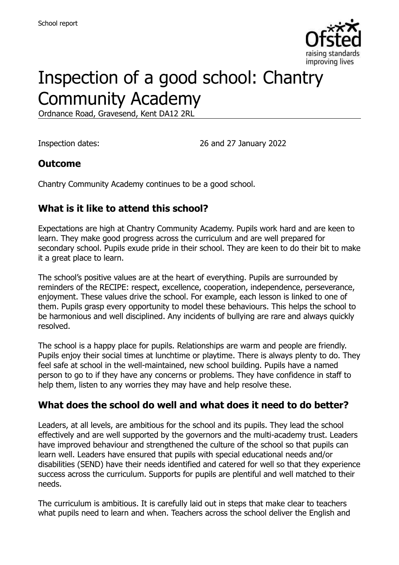

# Inspection of a good school: Chantry Community Academy

Ordnance Road, Gravesend, Kent DA12 2RL

Inspection dates: 26 and 27 January 2022

#### **Outcome**

Chantry Community Academy continues to be a good school.

# **What is it like to attend this school?**

Expectations are high at Chantry Community Academy. Pupils work hard and are keen to learn. They make good progress across the curriculum and are well prepared for secondary school. Pupils exude pride in their school. They are keen to do their bit to make it a great place to learn.

The school's positive values are at the heart of everything. Pupils are surrounded by reminders of the RECIPE: respect, excellence, cooperation, independence, perseverance, enjoyment. These values drive the school. For example, each lesson is linked to one of them. Pupils grasp every opportunity to model these behaviours. This helps the school to be harmonious and well disciplined. Any incidents of bullying are rare and always quickly resolved.

The school is a happy place for pupils. Relationships are warm and people are friendly. Pupils enjoy their social times at lunchtime or playtime. There is always plenty to do. They feel safe at school in the well-maintained, new school building. Pupils have a named person to go to if they have any concerns or problems. They have confidence in staff to help them, listen to any worries they may have and help resolve these.

#### **What does the school do well and what does it need to do better?**

Leaders, at all levels, are ambitious for the school and its pupils. They lead the school effectively and are well supported by the governors and the multi-academy trust. Leaders have improved behaviour and strengthened the culture of the school so that pupils can learn well. Leaders have ensured that pupils with special educational needs and/or disabilities (SEND) have their needs identified and catered for well so that they experience success across the curriculum. Supports for pupils are plentiful and well matched to their needs.

The curriculum is ambitious. It is carefully laid out in steps that make clear to teachers what pupils need to learn and when. Teachers across the school deliver the English and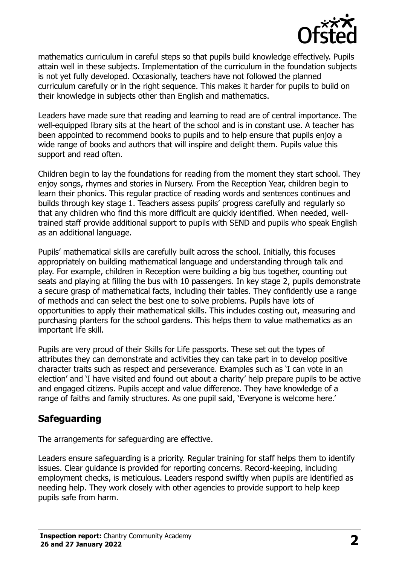

mathematics curriculum in careful steps so that pupils build knowledge effectively. Pupils attain well in these subjects. Implementation of the curriculum in the foundation subjects is not yet fully developed. Occasionally, teachers have not followed the planned curriculum carefully or in the right sequence. This makes it harder for pupils to build on their knowledge in subjects other than English and mathematics.

Leaders have made sure that reading and learning to read are of central importance. The well-equipped library sits at the heart of the school and is in constant use. A teacher has been appointed to recommend books to pupils and to help ensure that pupils enjoy a wide range of books and authors that will inspire and delight them. Pupils value this support and read often.

Children begin to lay the foundations for reading from the moment they start school. They enjoy songs, rhymes and stories in Nursery. From the Reception Year, children begin to learn their phonics. This regular practice of reading words and sentences continues and builds through key stage 1. Teachers assess pupils' progress carefully and regularly so that any children who find this more difficult are quickly identified. When needed, welltrained staff provide additional support to pupils with SEND and pupils who speak English as an additional language.

Pupils' mathematical skills are carefully built across the school. Initially, this focuses appropriately on building mathematical language and understanding through talk and play. For example, children in Reception were building a big bus together, counting out seats and playing at filling the bus with 10 passengers. In key stage 2, pupils demonstrate a secure grasp of mathematical facts, including their tables. They confidently use a range of methods and can select the best one to solve problems. Pupils have lots of opportunities to apply their mathematical skills. This includes costing out, measuring and purchasing planters for the school gardens. This helps them to value mathematics as an important life skill.

Pupils are very proud of their Skills for Life passports. These set out the types of attributes they can demonstrate and activities they can take part in to develop positive character traits such as respect and perseverance. Examples such as 'I can vote in an election' and 'I have visited and found out about a charity' help prepare pupils to be active and engaged citizens. Pupils accept and value difference. They have knowledge of a range of faiths and family structures. As one pupil said, 'Everyone is welcome here.'

# **Safeguarding**

The arrangements for safeguarding are effective.

Leaders ensure safeguarding is a priority. Regular training for staff helps them to identify issues. Clear guidance is provided for reporting concerns. Record-keeping, including employment checks, is meticulous. Leaders respond swiftly when pupils are identified as needing help. They work closely with other agencies to provide support to help keep pupils safe from harm.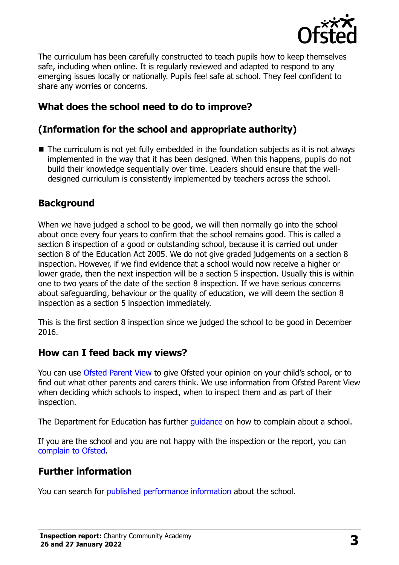

The curriculum has been carefully constructed to teach pupils how to keep themselves safe, including when online. It is regularly reviewed and adapted to respond to any emerging issues locally or nationally. Pupils feel safe at school. They feel confident to share any worries or concerns.

# **What does the school need to do to improve?**

# **(Information for the school and appropriate authority)**

■ The curriculum is not yet fully embedded in the foundation subjects as it is not always implemented in the way that it has been designed. When this happens, pupils do not build their knowledge sequentially over time. Leaders should ensure that the welldesigned curriculum is consistently implemented by teachers across the school.

# **Background**

When we have judged a school to be good, we will then normally go into the school about once every four years to confirm that the school remains good. This is called a section 8 inspection of a good or outstanding school, because it is carried out under section 8 of the Education Act 2005. We do not give graded judgements on a section 8 inspection. However, if we find evidence that a school would now receive a higher or lower grade, then the next inspection will be a section 5 inspection. Usually this is within one to two years of the date of the section 8 inspection. If we have serious concerns about safeguarding, behaviour or the quality of education, we will deem the section 8 inspection as a section 5 inspection immediately.

This is the first section 8 inspection since we judged the school to be good in December 2016.

#### **How can I feed back my views?**

You can use [Ofsted Parent View](https://parentview.ofsted.gov.uk/) to give Ofsted your opinion on your child's school, or to find out what other parents and carers think. We use information from Ofsted Parent View when deciding which schools to inspect, when to inspect them and as part of their inspection.

The Department for Education has further quidance on how to complain about a school.

If you are the school and you are not happy with the inspection or the report, you can [complain to Ofsted.](https://www.gov.uk/complain-ofsted-report)

#### **Further information**

You can search for [published performance information](http://www.compare-school-performance.service.gov.uk/) about the school.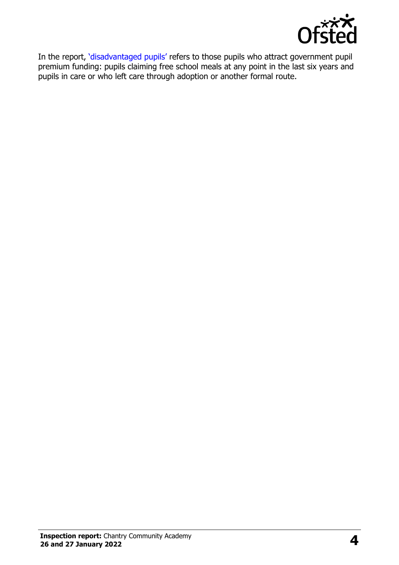

In the report, '[disadvantaged pupils](http://www.gov.uk/guidance/pupil-premium-information-for-schools-and-alternative-provision-settings)' refers to those pupils who attract government pupil premium funding: pupils claiming free school meals at any point in the last six years and pupils in care or who left care through adoption or another formal route.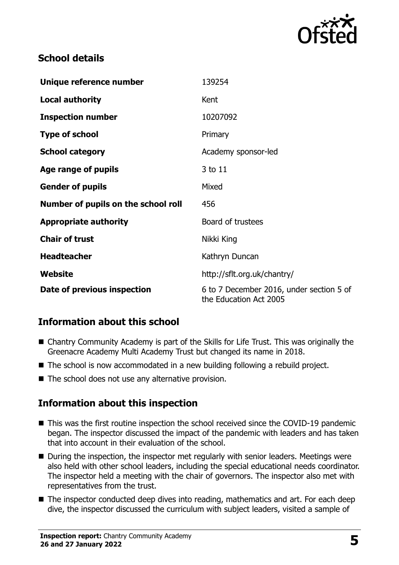

# **School details**

| Unique reference number             | 139254                                                             |
|-------------------------------------|--------------------------------------------------------------------|
| <b>Local authority</b>              | Kent                                                               |
| <b>Inspection number</b>            | 10207092                                                           |
| <b>Type of school</b>               | Primary                                                            |
| <b>School category</b>              | Academy sponsor-led                                                |
| Age range of pupils                 | 3 to 11                                                            |
| <b>Gender of pupils</b>             | Mixed                                                              |
| Number of pupils on the school roll | 456                                                                |
| <b>Appropriate authority</b>        | Board of trustees                                                  |
| <b>Chair of trust</b>               | Nikki King                                                         |
| <b>Headteacher</b>                  | Kathryn Duncan                                                     |
| Website                             | http://sflt.org.uk/chantry/                                        |
| Date of previous inspection         | 6 to 7 December 2016, under section 5 of<br>the Education Act 2005 |

# **Information about this school**

- Chantry Community Academy is part of the Skills for Life Trust. This was originally the Greenacre Academy Multi Academy Trust but changed its name in 2018.
- The school is now accommodated in a new building following a rebuild project.
- $\blacksquare$  The school does not use any alternative provision.

#### **Information about this inspection**

- This was the first routine inspection the school received since the COVID-19 pandemic began. The inspector discussed the impact of the pandemic with leaders and has taken that into account in their evaluation of the school.
- During the inspection, the inspector met regularly with senior leaders. Meetings were also held with other school leaders, including the special educational needs coordinator. The inspector held a meeting with the chair of governors. The inspector also met with representatives from the trust.
- The inspector conducted deep dives into reading, mathematics and art. For each deep dive, the inspector discussed the curriculum with subject leaders, visited a sample of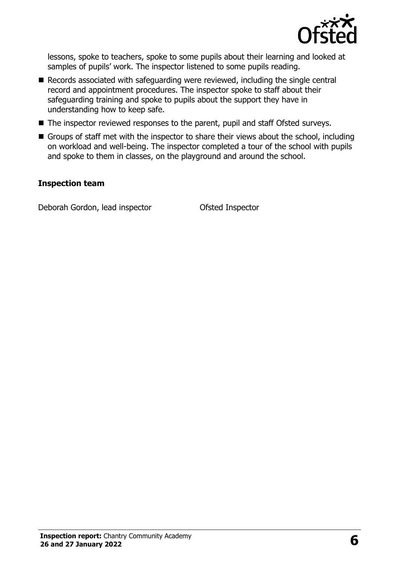

lessons, spoke to teachers, spoke to some pupils about their learning and looked at samples of pupils' work. The inspector listened to some pupils reading.

- Records associated with safeguarding were reviewed, including the single central record and appointment procedures. The inspector spoke to staff about their safeguarding training and spoke to pupils about the support they have in understanding how to keep safe.
- The inspector reviewed responses to the parent, pupil and staff Ofsted surveys.
- Groups of staff met with the inspector to share their views about the school, including on workload and well-being. The inspector completed a tour of the school with pupils and spoke to them in classes, on the playground and around the school.

#### **Inspection team**

Deborah Gordon, lead inspector Ofsted Inspector